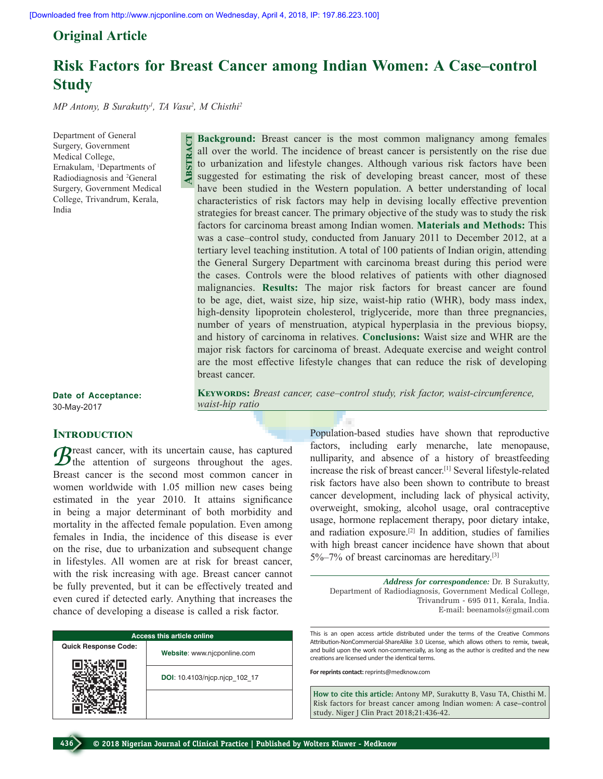# **Original Article**

# **Risk Factors for Breast Cancer among Indian Women: A Case–control Study**

*MP Antony, B Surakutty1 , TA Vasu2 , M Chisthi2*

Department of General Surgery, Government Medical College, Ernakulam, 1 Departments of Radiodiagnosis and 2 General Surgery, Government Medical College, Trivandrum, Kerala, India

**Background:** Breast cancer is the most common malignancy among females all over the world. The incidence of breast cancer is persistently on the rise due to urbanization and lifestyle changes. Although various risk factors have been suggested for estimating the risk of developing breast cancer, most of these have been studied in the Western population. A better understanding of local characteristics of risk factors may help in devising locally effective prevention strategies for breast cancer. The primary objective of the study was to study the risk factors for carcinoma breast among Indian women. **Materials and Methods:** This was a case–control study, conducted from January 2011 to December 2012, at a tertiary level teaching institution. A total of 100 patients of Indian origin, attending the General Surgery Department with carcinoma breast during this period were the cases. Controls were the blood relatives of patients with other diagnosed malignancies. **Results:** The major risk factors for breast cancer are found to be age, diet, waist size, hip size, waist‑hip ratio (WHR), body mass index, high-density lipoprotein cholesterol, triglyceride, more than three pregnancies, number of years of menstruation, atypical hyperplasia in the previous biopsy, and history of carcinoma in relatives. **Conclusions:** Waist size and WHR are the major risk factors for carcinoma of breast. Adequate exercise and weight control are the most effective lifestyle changes that can reduce the risk of developing breast cancer. **Abstract**

KEYWORDS: Breast cancer, case–control study, risk factor, waist-circumference,

**Date of Acceptance:** 30-May-2017

## **Introduction**

 $B<sub>test</sub>$  cancer, with its uncertain cause, has captured the attention of surgeons throughout the ages. Breast cancer is the second most common cancer in women worldwide with 1.05 million new cases being estimated in the year 2010. It attains significance in being a major determinant of both morbidity and mortality in the affected female population. Even among females in India, the incidence of this disease is ever on the rise, due to urbanization and subsequent change in lifestyles. All women are at risk for breast cancer, with the risk increasing with age. Breast cancer cannot be fully prevented, but it can be effectively treated and even cured if detected early. Anything that increases the chance of developing a disease is called a risk factor.

*waist‑hip ratio*

| <b>Access this article online</b> |                               |
|-----------------------------------|-------------------------------|
| <b>Quick Response Code:</b>       | Website: www.njcponline.com   |
|                                   | DOI: 10.4103/njcp.njcp 102 17 |
|                                   |                               |

Population‑based studies have shown that reproductive factors, including early menarche, late menopause, nulliparity, and absence of a history of breastfeeding increase the risk of breast cancer.<sup>[1]</sup> Several lifestyle-related risk factors have also been shown to contribute to breast cancer development, including lack of physical activity, overweight, smoking, alcohol usage, oral contraceptive usage, hormone replacement therapy, poor dietary intake, and radiation exposure.[2] In addition, studies of families with high breast cancer incidence have shown that about 5%–7% of breast carcinomas are hereditary.[3]

*Address for correspondence:* Dr. B Surakutty, Department of Radiodiagnosis, Government Medical College, Trivandrum ‑ 695 011, Kerala, India. E‑mail: beenamols@gmail.com

This is an open access article distributed under the terms of the Creative Commons Attribution-NonCommercial-ShareAlike 3.0 License, which allows others to remix, tweak, and build upon the work non-commercially, as long as the author is credited and the new creations are licensed under the identical terms.

**For reprints contact:** reprints@medknow.com

**How to cite this article:** Antony MP, Surakutty B, Vasu TA, Chisthi M. Risk factors for breast cancer among Indian women: A case–control study. Niger J Clin Pract 2018;21:436-42.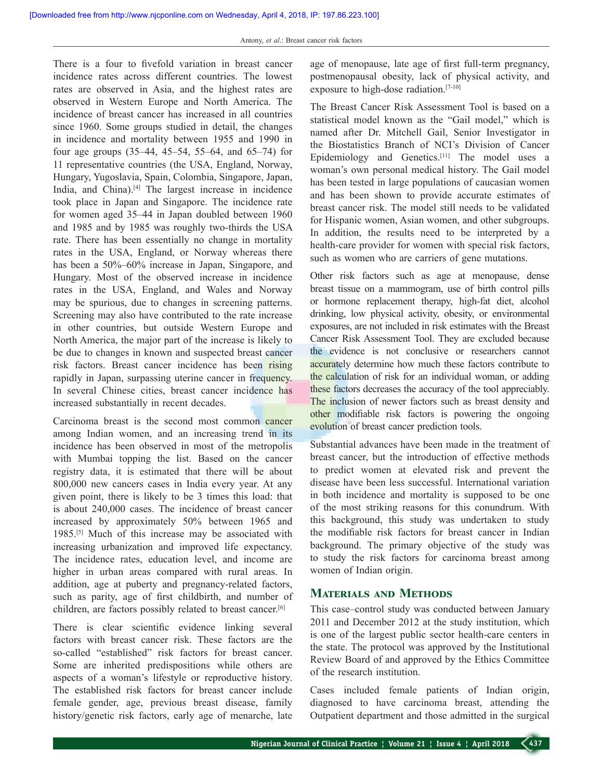There is a four to fivefold variation in breast cancer incidence rates across different countries. The lowest rates are observed in Asia, and the highest rates are observed in Western Europe and North America. The incidence of breast cancer has increased in all countries since 1960. Some groups studied in detail, the changes in incidence and mortality between 1955 and 1990 in four age groups (35–44, 45–54, 55–64, and 65–74) for 11 representative countries (the USA, England, Norway, Hungary, Yugoslavia, Spain, Colombia, Singapore, Japan, India, and China).[4] The largest increase in incidence took place in Japan and Singapore. The incidence rate for women aged 35–44 in Japan doubled between 1960 and 1985 and by 1985 was roughly two-thirds the USA rate. There has been essentially no change in mortality rates in the USA, England, or Norway whereas there has been a 50%–60% increase in Japan, Singapore, and Hungary. Most of the observed increase in incidence rates in the USA, England, and Wales and Norway may be spurious, due to changes in screening patterns. Screening may also have contributed to the rate increase in other countries, but outside Western Europe and North America, the major part of the increase is likely to be due to changes in known and suspected breast cancer risk factors. Breast cancer incidence has been rising rapidly in Japan, surpassing uterine cancer in frequency. In several Chinese cities, breast cancer incidence has increased substantially in recent decades.

Carcinoma breast is the second most common cancer among Indian women, and an increasing trend in its incidence has been observed in most of the metropolis with Mumbai topping the list. Based on the cancer registry data, it is estimated that there will be about 800,000 new cancers cases in India every year. At any given point, there is likely to be 3 times this load: that is about 240,000 cases. The incidence of breast cancer increased by approximately 50% between 1965 and 1985.[5] Much of this increase may be associated with increasing urbanization and improved life expectancy. The incidence rates, education level, and income are higher in urban areas compared with rural areas. In addition, age at puberty and pregnancy-related factors, such as parity, age of first childbirth, and number of children, are factors possibly related to breast cancer.[6]

There is clear scientific evidence linking several factors with breast cancer risk. These factors are the so-called "established" risk factors for breast cancer. Some are inherited predispositions while others are aspects of a woman's lifestyle or reproductive history. The established risk factors for breast cancer include female gender, age, previous breast disease, family history/genetic risk factors, early age of menarche, late age of menopause, late age of first full-term pregnancy, postmenopausal obesity, lack of physical activity, and exposure to high-dose radiation.<sup>[7-10]</sup>

The Breast Cancer Risk Assessment Tool is based on a statistical model known as the "Gail model," which is named after Dr. Mitchell Gail, Senior Investigator in the Biostatistics Branch of NCI's Division of Cancer Epidemiology and Genetics.[11] The model uses a woman's own personal medical history. The Gail model has been tested in large populations of caucasian women and has been shown to provide accurate estimates of breast cancer risk. The model still needs to be validated for Hispanic women, Asian women, and other subgroups. In addition, the results need to be interpreted by a health-care provider for women with special risk factors, such as women who are carriers of gene mutations.

Other risk factors such as age at menopause, dense breast tissue on a mammogram, use of birth control pills or hormone replacement therapy, high-fat diet, alcohol drinking, low physical activity, obesity, or environmental exposures, are not included in risk estimates with the Breast Cancer Risk Assessment Tool. They are excluded because the evidence is not conclusive or researchers cannot accurately determine how much these factors contribute to the calculation of risk for an individual woman, or adding these factors decreases the accuracy of the tool appreciably. The inclusion of newer factors such as breast density and other modifiable risk factors is powering the ongoing evolution of breast cancer prediction tools.

Substantial advances have been made in the treatment of breast cancer, but the introduction of effective methods to predict women at elevated risk and prevent the disease have been less successful. International variation in both incidence and mortality is supposed to be one of the most striking reasons for this conundrum. With this background, this study was undertaken to study the modifiable risk factors for breast cancer in Indian background. The primary objective of the study was to study the risk factors for carcinoma breast among women of Indian origin.

# **Materials and Methods**

This case–control study was conducted between January 2011 and December 2012 at the study institution, which is one of the largest public sector health-care centers in the state. The protocol was approved by the Institutional Review Board of and approved by the Ethics Committee of the research institution.

Cases included female patients of Indian origin, diagnosed to have carcinoma breast, attending the Outpatient department and those admitted in the surgical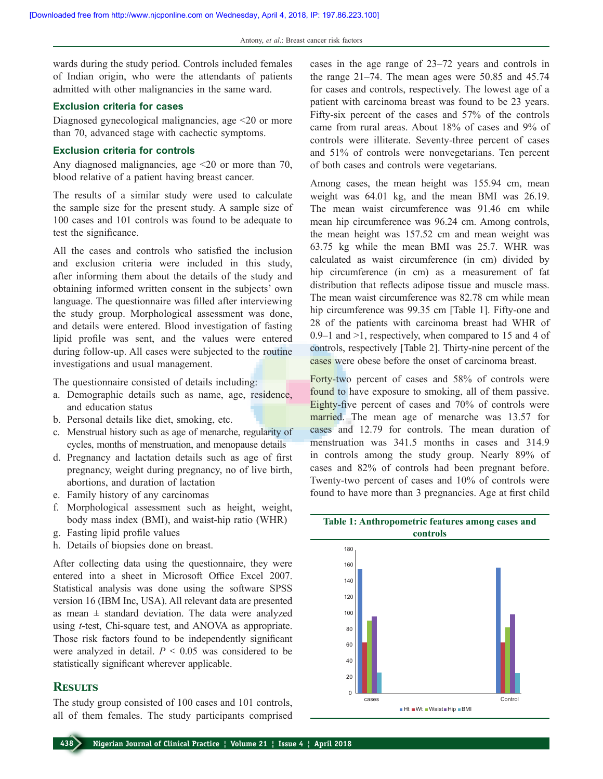wards during the study period. Controls included females of Indian origin, who were the attendants of patients admitted with other malignancies in the same ward.

#### **Exclusion criteria for cases**

Diagnosed gynecological malignancies, age <20 or more than 70, advanced stage with cachectic symptoms.

#### **Exclusion criteria for controls**

Any diagnosed malignancies, age <20 or more than 70, blood relative of a patient having breast cancer.

The results of a similar study were used to calculate the sample size for the present study. A sample size of 100 cases and 101 controls was found to be adequate to test the significance.

All the cases and controls who satisfied the inclusion and exclusion criteria were included in this study, after informing them about the details of the study and obtaining informed written consent in the subjects' own language. The questionnaire was filled after interviewing the study group. Morphological assessment was done, and details were entered. Blood investigation of fasting lipid profile was sent, and the values were entered during follow‑up. All cases were subjected to the routine investigations and usual management.

The questionnaire consisted of details including:

- a. Demographic details such as name, age, residence, and education status
- b. Personal details like diet, smoking, etc.
- c. Menstrual history such as age of menarche, regularity of cycles, months of menstruation, and menopause details
- d. Pregnancy and lactation details such as age of first pregnancy, weight during pregnancy, no of live birth, abortions, and duration of lactation
- e. Family history of any carcinomas
- f. Morphological assessment such as height, weight, body mass index (BMI), and waist-hip ratio (WHR)
- g. Fasting lipid profile values
- h. Details of biopsies done on breast.

After collecting data using the questionnaire, they were entered into a sheet in Microsoft Office Excel 2007. Statistical analysis was done using the software SPSS version 16 (IBM Inc, USA). All relevant data are presented as mean  $\pm$  standard deviation. The data were analyzed using *t*‑test, Chi‑square test, and ANOVA as appropriate. Those risk factors found to be independently significant were analyzed in detail.  $P \leq 0.05$  was considered to be statistically significant wherever applicable.

## **Results**

The study group consisted of 100 cases and 101 controls, all of them females. The study participants comprised cases in the age range of 23–72 years and controls in the range 21–74. The mean ages were 50.85 and 45.74 for cases and controls, respectively. The lowest age of a patient with carcinoma breast was found to be 23 years. Fifty-six percent of the cases and 57% of the controls came from rural areas. About 18% of cases and 9% of controls were illiterate. Seventy-three percent of cases and 51% of controls were nonvegetarians. Ten percent of both cases and controls were vegetarians.

Among cases, the mean height was 155.94 cm, mean weight was 64.01 kg, and the mean BMI was 26.19. The mean waist circumference was 91.46 cm while mean hip circumference was 96.24 cm. Among controls, the mean height was 157.52 cm and mean weight was 63.75 kg while the mean BMI was 25.7. WHR was calculated as waist circumference (in cm) divided by hip circumference (in cm) as a measurement of fat distribution that reflects adipose tissue and muscle mass. The mean waist circumference was 82.78 cm while mean hip circumference was 99.35 cm [Table 1]. Fifty-one and 28 of the patients with carcinoma breast had WHR of 0.9–1 and >1, respectively, when compared to 15 and 4 of controls, respectively [Table 2]. Thirty-nine percent of the cases were obese before the onset of carcinoma breast.

Forty-two percent of cases and 58% of controls were found to have exposure to smoking, all of them passive. Eighty-five percent of cases and 70% of controls were married. The mean age of menarche was 13.57 for cases and 12.79 for controls. The mean duration of menstruation was 341.5 months in cases and 314.9 in controls among the study group. Nearly 89% of cases and 82% of controls had been pregnant before. Twenty-two percent of cases and 10% of controls were found to have more than 3 pregnancies. Age at first child

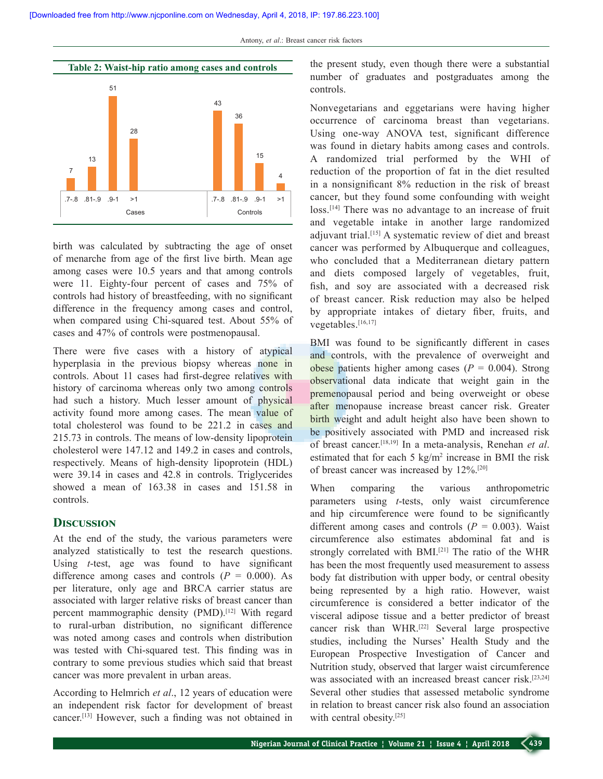

birth was calculated by subtracting the age of onset of menarche from age of the first live birth. Mean age among cases were 10.5 years and that among controls were 11. Eighty-four percent of cases and 75% of controls had history of breastfeeding, with no significant difference in the frequency among cases and control, when compared using Chi-squared test. About 55% of cases and 47% of controls were postmenopausal.

There were five cases with a history of atypical hyperplasia in the previous biopsy whereas none in controls. About 11 cases had first-degree relatives with history of carcinoma whereas only two among controls had such a history. Much lesser amount of physical activity found more among cases. The mean value of total cholesterol was found to be 221.2 in cases and 215.73 in controls. The means of low‑density lipoprotein cholesterol were 147.12 and 149.2 in cases and controls, respectively. Means of high-density lipoprotein (HDL) were 39.14 in cases and 42.8 in controls. Triglycerides showed a mean of 163.38 in cases and 151.58 in controls.

## **Discussion**

At the end of the study, the various parameters were analyzed statistically to test the research questions. Using *t*-test, age was found to have significant difference among cases and controls  $(P = 0.000)$ . As per literature, only age and BRCA carrier status are associated with larger relative risks of breast cancer than percent mammographic density (PMD).[12] With regard to rural‑urban distribution, no significant difference was noted among cases and controls when distribution was tested with Chi-squared test. This finding was in contrary to some previous studies which said that breast cancer was more prevalent in urban areas.

According to Helmrich *et al*., 12 years of education were an independent risk factor for development of breast cancer.[13] However, such a finding was not obtained in

the present study, even though there were a substantial number of graduates and postgraduates among the controls.

Nonvegetarians and eggetarians were having higher occurrence of carcinoma breast than vegetarians. Using one‑way ANOVA test, significant difference was found in dietary habits among cases and controls. A randomized trial performed by the WHI of reduction of the proportion of fat in the diet resulted in a nonsignificant 8% reduction in the risk of breast cancer, but they found some confounding with weight loss.<sup>[14]</sup> There was no advantage to an increase of fruit and vegetable intake in another large randomized adjuvant trial.[15] A systematic review of diet and breast cancer was performed by Albuquerque and colleagues, who concluded that a Mediterranean dietary pattern and diets composed largely of vegetables, fruit, fish, and soy are associated with a decreased risk of breast cancer. Risk reduction may also be helped by appropriate intakes of dietary fiber, fruits, and vegetables.<sup>[16,17]</sup>

BMI was found to be significantly different in cases and controls, with the prevalence of overweight and obese patients higher among cases  $(P = 0.004)$ . Strong observational data indicate that weight gain in the premenopausal period and being overweight or obese after menopause increase breast cancer risk. Greater birth weight and adult height also have been shown to be positively associated with PMD and increased risk of breast cancer.[18,19] In a meta‑analysis, Renehan *et al*. estimated that for each  $5 \text{ kg/m}^2$  increase in BMI the risk of breast cancer was increased by 12%.[20]

When comparing the various anthropometric parameters using *t*-tests, only waist circumference and hip circumference were found to be significantly different among cases and controls  $(P = 0.003)$ . Waist circumference also estimates abdominal fat and is strongly correlated with BMI.[21] The ratio of the WHR has been the most frequently used measurement to assess body fat distribution with upper body, or central obesity being represented by a high ratio. However, waist circumference is considered a better indicator of the visceral adipose tissue and a better predictor of breast cancer risk than WHR.[22] Several large prospective studies, including the Nurses' Health Study and the European Prospective Investigation of Cancer and Nutrition study, observed that larger waist circumference was associated with an increased breast cancer risk.[23,24] Several other studies that assessed metabolic syndrome in relation to breast cancer risk also found an association with central obesity.<sup>[25]</sup>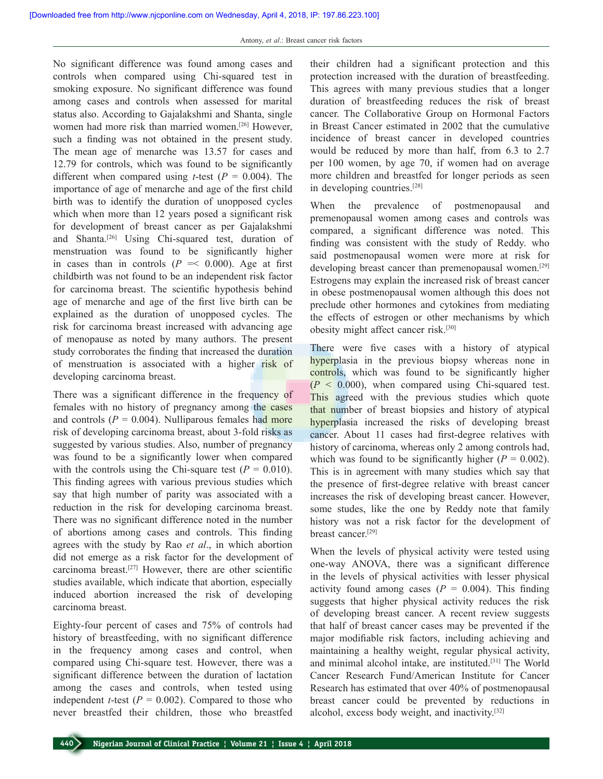No significant difference was found among cases and controls when compared using Chi-squared test in smoking exposure. No significant difference was found among cases and controls when assessed for marital status also. According to Gajalakshmi and Shanta, single women had more risk than married women.[26] However, such a finding was not obtained in the present study. The mean age of menarche was 13.57 for cases and 12.79 for controls, which was found to be significantly different when compared using *t*-test ( $P = 0.004$ ). The importance of age of menarche and age of the first child birth was to identify the duration of unopposed cycles which when more than 12 years posed a significant risk for development of breast cancer as per Gajalakshmi and Shanta.<sup>[26]</sup> Using Chi-squared test, duration of menstruation was found to be significantly higher in cases than in controls  $(P \le 0.000)$ . Age at first childbirth was not found to be an independent risk factor for carcinoma breast. The scientific hypothesis behind age of menarche and age of the first live birth can be explained as the duration of unopposed cycles. The risk for carcinoma breast increased with advancing age of menopause as noted by many authors. The present study corroborates the finding that increased the duration of menstruation is associated with a higher risk of developing carcinoma breast.

There was a significant difference in the frequency of females with no history of pregnancy among the cases and controls  $(P = 0.004)$ . Nulliparous females had more risk of developing carcinoma breast, about 3‑fold risks as suggested by various studies. Also, number of pregnancy was found to be a significantly lower when compared with the controls using the Chi-square test  $(P = 0.010)$ . This finding agrees with various previous studies which say that high number of parity was associated with a reduction in the risk for developing carcinoma breast. There was no significant difference noted in the number of abortions among cases and controls. This finding agrees with the study by Rao *et al*., in which abortion did not emerge as a risk factor for the development of carcinoma breast.[27] However, there are other scientific studies available, which indicate that abortion, especially induced abortion increased the risk of developing carcinoma breast.

Eighty‑four percent of cases and 75% of controls had history of breastfeeding, with no significant difference in the frequency among cases and control, when compared using Chi‑square test. However, there was a significant difference between the duration of lactation among the cases and controls, when tested using independent *t*-test ( $P = 0.002$ ). Compared to those who never breastfed their children, those who breastfed

their children had a significant protection and this protection increased with the duration of breastfeeding. This agrees with many previous studies that a longer duration of breastfeeding reduces the risk of breast cancer. The Collaborative Group on Hormonal Factors in Breast Cancer estimated in 2002 that the cumulative incidence of breast cancer in developed countries would be reduced by more than half, from 6.3 to 2.7 per 100 women, by age 70, if women had on average more children and breastfed for longer periods as seen in developing countries.[28]

When the prevalence of postmenopausal and premenopausal women among cases and controls was compared, a significant difference was noted. This finding was consistent with the study of Reddy. who said postmenopausal women were more at risk for developing breast cancer than premenopausal women.<sup>[29]</sup> Estrogens may explain the increased risk of breast cancer in obese postmenopausal women although this does not preclude other hormones and cytokines from mediating the effects of estrogen or other mechanisms by which obesity might affect cancer risk.[30]

There were five cases with a history of atypical hyperplasia in the previous biopsy whereas none in controls, which was found to be significantly higher  $(P < 0.000)$ , when compared using Chi-squared test. This agreed with the previous studies which quote that number of breast biopsies and history of atypical hyperplasia increased the risks of developing breast cancer. About 11 cases had first-degree relatives with history of carcinoma, whereas only 2 among controls had, which was found to be significantly higher  $(P = 0.002)$ . This is in agreement with many studies which say that the presence of first-degree relative with breast cancer increases the risk of developing breast cancer. However, some studes, like the one by Reddy note that family history was not a risk factor for the development of breast cancer.[29]

When the levels of physical activity were tested using one‑way ANOVA, there was a significant difference in the levels of physical activities with lesser physical activity found among cases  $(P = 0.004)$ . This finding suggests that higher physical activity reduces the risk of developing breast cancer. A recent review suggests that half of breast cancer cases may be prevented if the major modifiable risk factors, including achieving and maintaining a healthy weight, regular physical activity, and minimal alcohol intake, are instituted.[31] The World Cancer Research Fund/American Institute for Cancer Research has estimated that over 40% of postmenopausal breast cancer could be prevented by reductions in alcohol, excess body weight, and inactivity.[32]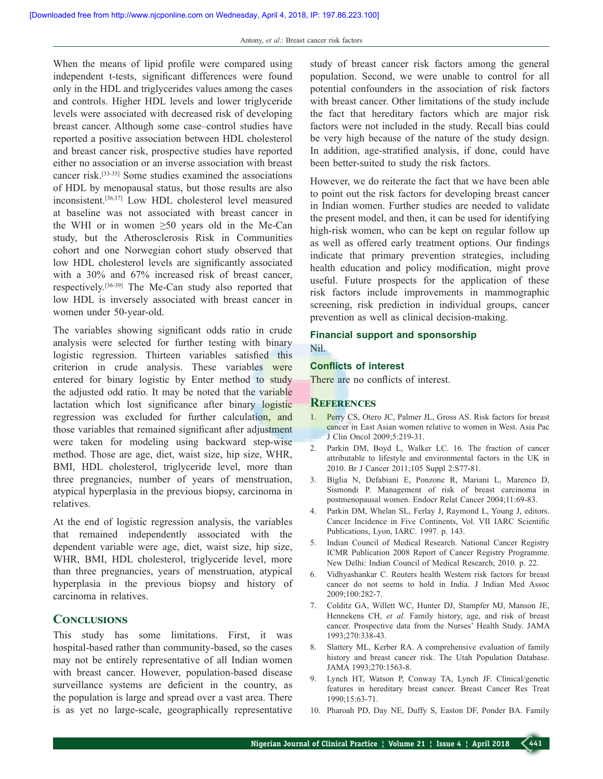When the means of lipid profile were compared using independent t-tests, significant differences were found only in the HDL and triglycerides values among the cases and controls. Higher HDL levels and lower triglyceride levels were associated with decreased risk of developing breast cancer. Although some case–control studies have reported a positive association between HDL cholesterol and breast cancer risk, prospective studies have reported either no association or an inverse association with breast cancer risk.[33‑35] Some studies examined the associations of HDL by menopausal status, but those results are also inconsistent.[36,37] Low HDL cholesterol level measured at baseline was not associated with breast cancer in the WHI or in women  $\geq 50$  years old in the Me-Can study, but the Atherosclerosis Risk in Communities cohort and one Norwegian cohort study observed that low HDL cholesterol levels are significantly associated with a 30% and 67% increased risk of breast cancer, respectively.[36‑39] The Me‑Can study also reported that low HDL is inversely associated with breast cancer in women under 50-year-old.

The variables showing significant odds ratio in crude analysis were selected for further testing with binary logistic regression. Thirteen variables satisfied this criterion in crude analysis. These variables were entered for binary logistic by Enter method to study the adjusted odd ratio. It may be noted that the variable lactation which lost significance after binary logistic regression was excluded for further calculation, and those variables that remained significant after adjustment were taken for modeling using backward step-wise method. Those are age, diet, waist size, hip size, WHR, BMI, HDL cholesterol, triglyceride level, more than three pregnancies, number of years of menstruation, atypical hyperplasia in the previous biopsy, carcinoma in relatives.

At the end of logistic regression analysis, the variables that remained independently associated with the dependent variable were age, diet, waist size, hip size, WHR, BMI, HDL cholesterol, triglyceride level, more than three pregnancies, years of menstruation, atypical hyperplasia in the previous biopsy and history of carcinoma in relatives.

## **Conclusions**

This study has some limitations. First, it was hospital-based rather than community-based, so the cases may not be entirely representative of all Indian women with breast cancer. However, population-based disease surveillance systems are deficient in the country, as the population is large and spread over a vast area. There is as yet no large‑scale, geographically representative

study of breast cancer risk factors among the general population. Second, we were unable to control for all potential confounders in the association of risk factors with breast cancer. Other limitations of the study include the fact that hereditary factors which are major risk factors were not included in the study. Recall bias could be very high because of the nature of the study design. In addition, age-stratified analysis, if done, could have been better-suited to study the risk factors.

However, we do reiterate the fact that we have been able to point out the risk factors for developing breast cancer in Indian women. Further studies are needed to validate the present model, and then, it can be used for identifying high-risk women, who can be kept on regular follow up as well as offered early treatment options. Our findings indicate that primary prevention strategies, including health education and policy modification, might prove useful. Future prospects for the application of these risk factors include improvements in mammographic screening, risk prediction in individual groups, cancer prevention as well as clinical decision-making.

#### **Financial support and sponsorship** Nil.

#### **Conflicts of interest**

There are no conflicts of interest.

#### **References**

- 1. Perry CS, Otero JC, Palmer JL, Gross AS. Risk factors for breast cancer in East Asian women relative to women in West. Asia Pac J Clin Oncol 2009;5:219‑31.
- 2. Parkin DM, Boyd L, Walker LC. 16. The fraction of cancer attributable to lifestyle and environmental factors in the UK in 2010. Br J Cancer 2011;105 Suppl 2:S77‑81.
- 3. Biglia N, Defabiani E, Ponzone R, Mariani L, Marenco D, Sismondi P. Management of risk of breast carcinoma in postmenopausal women. Endocr Relat Cancer 2004;11:69‑83.
- 4. Parkin DM, Whelan SL, Ferlay J, Raymond L, Young J, editors. Cancer Incidence in Five Continents, Vol. VII IARC Scientific Publications, Lyon, IARC. 1997. p. 143.
- 5. Indian Council of Medical Research. National Cancer Registry ICMR Publication 2008 Report of Cancer Registry Programme. New Delhi: Indian Council of Medical Research; 2010. p. 22.
- 6. Vidhyashankar C. Reuters health Western risk factors for breast cancer do not seems to hold in India. J Indian Med Assoc 2009;100:282‑7.
- 7. Colditz GA, Willett WC, Hunter DJ, Stampfer MJ, Manson JE, Hennekens CH, *et al.* Family history, age, and risk of breast cancer. Prospective data from the Nurses' Health Study. JAMA 1993;270:338‑43.
- 8. Slattery ML, Kerber RA. A comprehensive evaluation of family history and breast cancer risk. The Utah Population Database. JAMA 1993;270:1563‑8.
- 9. Lynch HT, Watson P, Conway TA, Lynch JF. Clinical/genetic features in hereditary breast cancer. Breast Cancer Res Treat 1990;15:63‑71.
- 10. Pharoah PD, Day NE, Duffy S, Easton DF, Ponder BA. Family